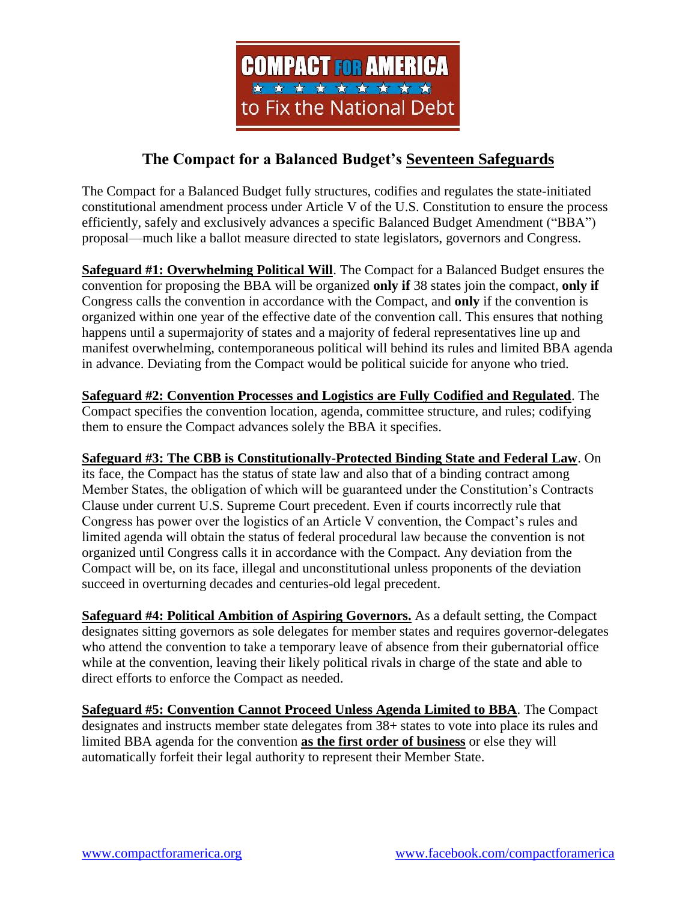

## **The Compact for a Balanced Budget's Seventeen Safeguards**

The Compact for a Balanced Budget fully structures, codifies and regulates the state-initiated constitutional amendment process under Article V of the U.S. Constitution to ensure the process efficiently, safely and exclusively advances a specific Balanced Budget Amendment ("BBA") proposal—much like a ballot measure directed to state legislators, governors and Congress.

**Safeguard #1: Overwhelming Political Will**. The Compact for a Balanced Budget ensures the convention for proposing the BBA will be organized **only if** 38 states join the compact, **only if** Congress calls the convention in accordance with the Compact, and **only** if the convention is organized within one year of the effective date of the convention call. This ensures that nothing happens until a supermajority of states and a majority of federal representatives line up and manifest overwhelming, contemporaneous political will behind its rules and limited BBA agenda in advance. Deviating from the Compact would be political suicide for anyone who tried.

**Safeguard #2: Convention Processes and Logistics are Fully Codified and Regulated**. The Compact specifies the convention location, agenda, committee structure, and rules; codifying them to ensure the Compact advances solely the BBA it specifies.

**Safeguard #3: The CBB is Constitutionally-Protected Binding State and Federal Law**. On its face, the Compact has the status of state law and also that of a binding contract among Member States, the obligation of which will be guaranteed under the Constitution's Contracts Clause under current U.S. Supreme Court precedent. Even if courts incorrectly rule that Congress has power over the logistics of an Article V convention, the Compact's rules and limited agenda will obtain the status of federal procedural law because the convention is not organized until Congress calls it in accordance with the Compact. Any deviation from the Compact will be, on its face, illegal and unconstitutional unless proponents of the deviation succeed in overturning decades and centuries-old legal precedent.

**Safeguard #4: Political Ambition of Aspiring Governors.** As a default setting, the Compact designates sitting governors as sole delegates for member states and requires governor-delegates who attend the convention to take a temporary leave of absence from their gubernatorial office while at the convention, leaving their likely political rivals in charge of the state and able to direct efforts to enforce the Compact as needed.

**Safeguard #5: Convention Cannot Proceed Unless Agenda Limited to BBA**. The Compact designates and instructs member state delegates from 38+ states to vote into place its rules and limited BBA agenda for the convention **as the first order of business** or else they will automatically forfeit their legal authority to represent their Member State.